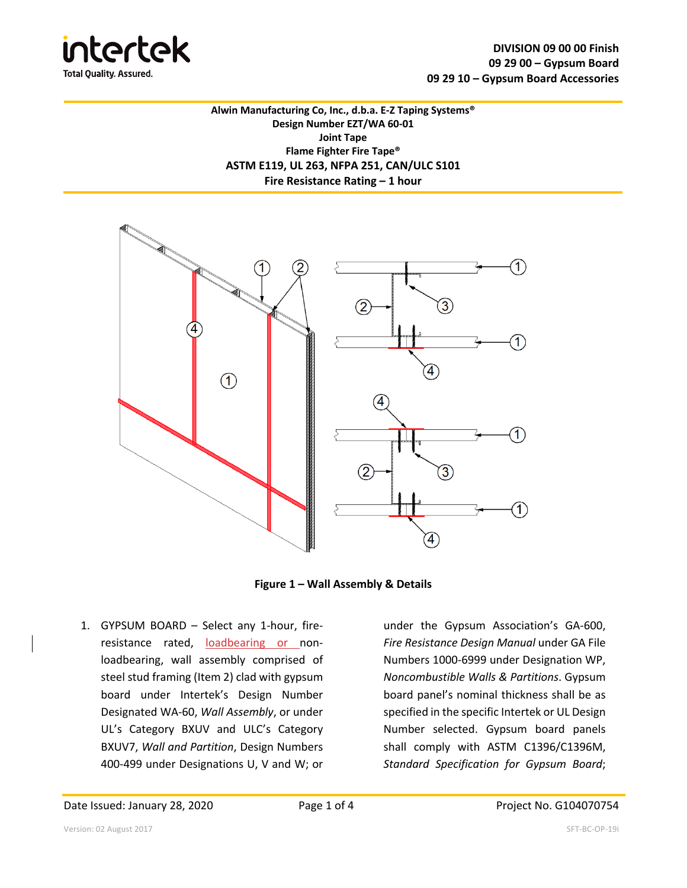

**Alwin Manufacturing Co, Inc., d.b.a. E-Z Taping Systems® Design Number EZT/WA 60-01 Joint Tape Flame Fighter Fire Tape® ASTM E119, UL 263, NFPA 251, CAN/ULC S101 Fire Resistance Rating – 1 hour**



**Figure 1 – Wall Assembly & Details**

1. GYPSUM BOARD – Select any 1-hour, fireresistance rated, loadbearing or nonloadbearing, wall assembly comprised of steel stud framing (Item 2) clad with gypsum board under Intertek's Design Number Designated WA-60, *Wall Assembly*, or under UL's Category BXUV and ULC's Category BXUV7, *Wall and Partition*, Design Numbers 400-499 under Designations U, V and W; or

under the Gypsum Association's GA-600, *Fire Resistance Design Manual* under GA File Numbers 1000-6999 under Designation WP, *Noncombustible Walls & Partitions*. Gypsum board panel's nominal thickness shall be as specified in the specific Intertek or UL Design Number selected. Gypsum board panels shall comply with ASTM C1396/C1396M, *Standard Specification for Gypsum Board*;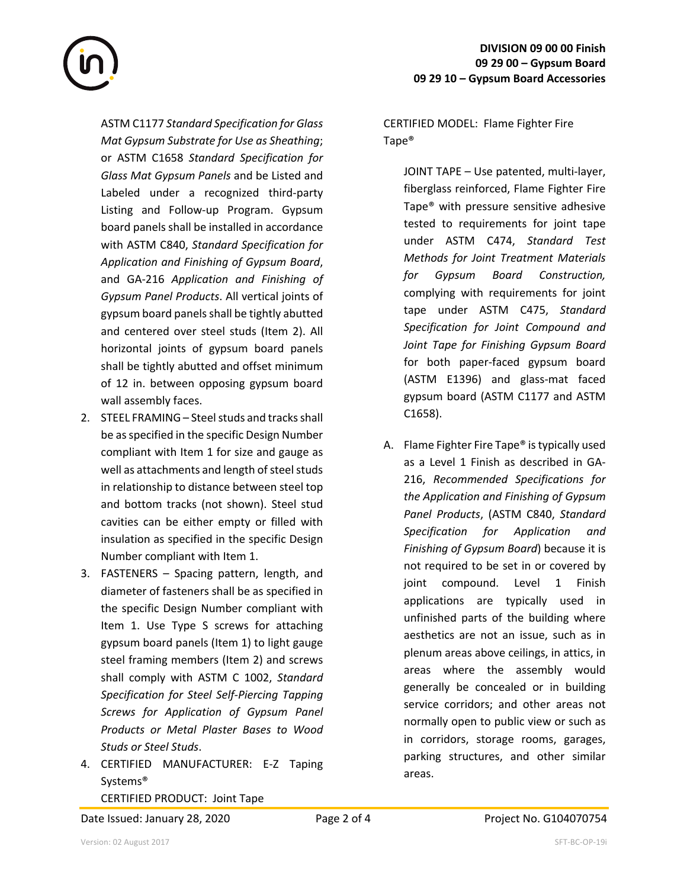ASTM C1177 *Standard Specification for Glass Mat Gypsum Substrate for Use as Sheathing*; or ASTM C1658 *Standard Specification for Glass Mat Gypsum Panels* and be Listed and Labeled under a recognized third-party Listing and Follow-up Program. Gypsum board panels shall be installed in accordance with ASTM C840, *Standard Specification for Application and Finishing of Gypsum Board*, and GA-216 *Application and Finishing of Gypsum Panel Products*. All vertical joints of gypsum board panels shall be tightly abutted and centered over steel studs (Item 2). All horizontal joints of gypsum board panels shall be tightly abutted and offset minimum of 12 in. between opposing gypsum board wall assembly faces.

- 2. STEEL FRAMING Steel studs and tracks shall be as specified in the specific Design Number compliant with Item 1 for size and gauge as well as attachments and length of steel studs in relationship to distance between steel top and bottom tracks (not shown). Steel stud cavities can be either empty or filled with insulation as specified in the specific Design Number compliant with Item 1.
- 3. FASTENERS Spacing pattern, length, and diameter of fasteners shall be as specified in the specific Design Number compliant with Item 1. Use Type S screws for attaching gypsum board panels (Item 1) to light gauge steel framing members (Item 2) and screws shall comply with ASTM C 1002, *Standard Specification for Steel Self-Piercing Tapping Screws for Application of Gypsum Panel Products or Metal Plaster Bases to Wood Studs or Steel Studs*.
- 4. CERTIFIED MANUFACTURER: E-Z Taping Systems® CERTIFIED PRODUCT: Joint Tape

Date Issued: January 28, 2020 Page 2 of 4 Project No. G104070754

CERTIFIED MODEL: Flame Fighter Fire Tape®

JOINT TAPE – Use patented, multi-layer, fiberglass reinforced, Flame Fighter Fire Tape® with pressure sensitive adhesive tested to requirements for joint tape under ASTM C474, *Standard Test Methods for Joint Treatment Materials for Gypsum Board Construction,* complying with requirements for joint tape under ASTM C475, *Standard Specification for Joint Compound and Joint Tape for Finishing Gypsum Board* for both paper-faced gypsum board (ASTM E1396) and glass-mat faced gypsum board (ASTM C1177 and ASTM C1658).

A. Flame Fighter Fire Tape® is typically used as a Level 1 Finish as described in GA-216, *Recommended Specifications for the Application and Finishing of Gypsum Panel Products*, (ASTM C840, *Standard Specification for Application and Finishing of Gypsum Board*) because it is not required to be set in or covered by joint compound. Level 1 Finish applications are typically used in unfinished parts of the building where aesthetics are not an issue, such as in plenum areas above ceilings, in attics, in areas where the assembly would generally be concealed or in building service corridors; and other areas not normally open to public view or such as in corridors, storage rooms, garages, parking structures, and other similar areas.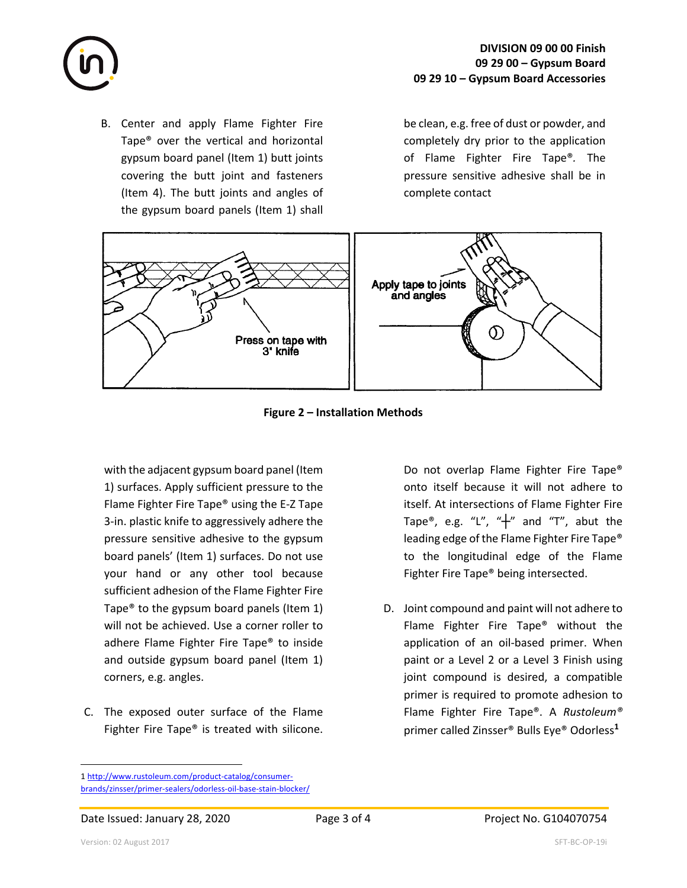

B. Center and apply Flame Fighter Fire Tape® over the vertical and horizontal gypsum board panel (Item 1) butt joints covering the butt joint and fasteners (Item 4). The butt joints and angles of the gypsum board panels (Item 1) shall

be clean, e.g. free of dust or powder, and completely dry prior to the application of Flame Fighter Fire Tape®*.* The pressure sensitive adhesive shall be in complete contact



**Figure 2 – Installation Methods**

with the adjacent gypsum board panel (Item 1) surfaces. Apply sufficient pressure to the Flame Fighter Fire Tape® using the E-Z Tape 3-in. plastic knife to aggressively adhere the pressure sensitive adhesive to the gypsum board panels' (Item 1) surfaces. Do not use your hand or any other tool because sufficient adhesion of the Flame Fighter Fire Tape® to the gypsum board panels (Item 1) will not be achieved. Use a corner roller to adhere Flame Fighter Fire Tape® to inside and outside gypsum board panel (Item 1) corners, e.g. angles.

C. The exposed outer surface of the Flame Fighter Fire Tape® is treated with silicone. Do not overlap Flame Fighter Fire Tape® onto itself because it will not adhere to itself. At intersections of Flame Fighter Fire Tape®, e.g. "L", " $+$ " and "T", abut the leading edge of the Flame Fighter Fire Tape® to the longitudinal edge of the Flame Fighter Fire Tape® being intersected.

D. Joint compound and paint will not adhere to Flame Fighter Fire Tape® without the application of an oil-based primer. When paint or a Level 2 or a Level 3 Finish using joint compound is desired, a compatible primer is required to promote adhesion to Flame Fighter Fire Tape®. A *Rustoleum®*  primer called Zinsser® Bulls Eye® Odorless**<sup>1</sup>**

<sup>1</sup> http://www.rustoleum.com/product-catalog/consumerbrands/zinsser/primer-sealers/odorless-oil-base-stain-blocker/